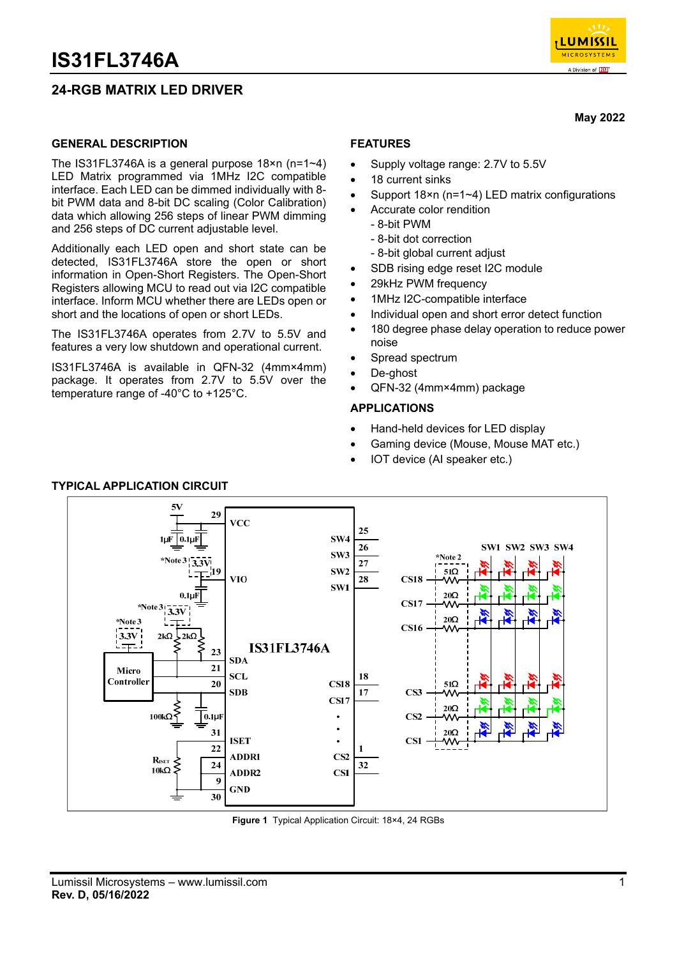## **24-RGB MATRIX LED DRIVER**



**May 2022** 

### **GENERAL DESCRIPTION**

The IS31FL3746A is a general purpose 18×n (n=1~4) LED Matrix programmed via 1MHz I2C compatible interface. Each LED can be dimmed individually with 8 bit PWM data and 8-bit DC scaling (Color Calibration) data which allowing 256 steps of linear PWM dimming and 256 steps of DC current adjustable level.

Additionally each LED open and short state can be detected, IS31FL3746A store the open or short information in Open-Short Registers. The Open-Short Registers allowing MCU to read out via I2C compatible interface. Inform MCU whether there are LEDs open or short and the locations of open or short LEDs.

The IS31FL3746A operates from 2.7V to 5.5V and features a very low shutdown and operational current.

IS31FL3746A is available in QFN-32 (4mm×4mm) package. It operates from 2.7V to 5.5V over the temperature range of -40°C to +125°C.

## **FEATURES**

- Supply voltage range: 2.7V to 5.5V
- 18 current sinks
- Support 18×n (n=1~4) LED matrix configurations
- Accurate color rendition
	- 8-bit PWM
	- 8-bit dot correction
	- 8-bit global current adjust
- SDB rising edge reset I2C module
- 29kHz PWM frequency
- 1MHz I2C-compatible interface
- Individual open and short error detect function
- 180 degree phase delay operation to reduce power noise
- Spread spectrum
- De-ghost
- QFN-32 (4mm×4mm) package

### **APPLICATIONS**

- Hand-held devices for LED display
- Gaming device (Mouse, Mouse MAT etc.)
- IOT device (AI speaker etc.)



## **TYPICAL APPLICATION CIRCUIT**

**Figure 1** Typical Application Circuit: 18×4, 24 RGBs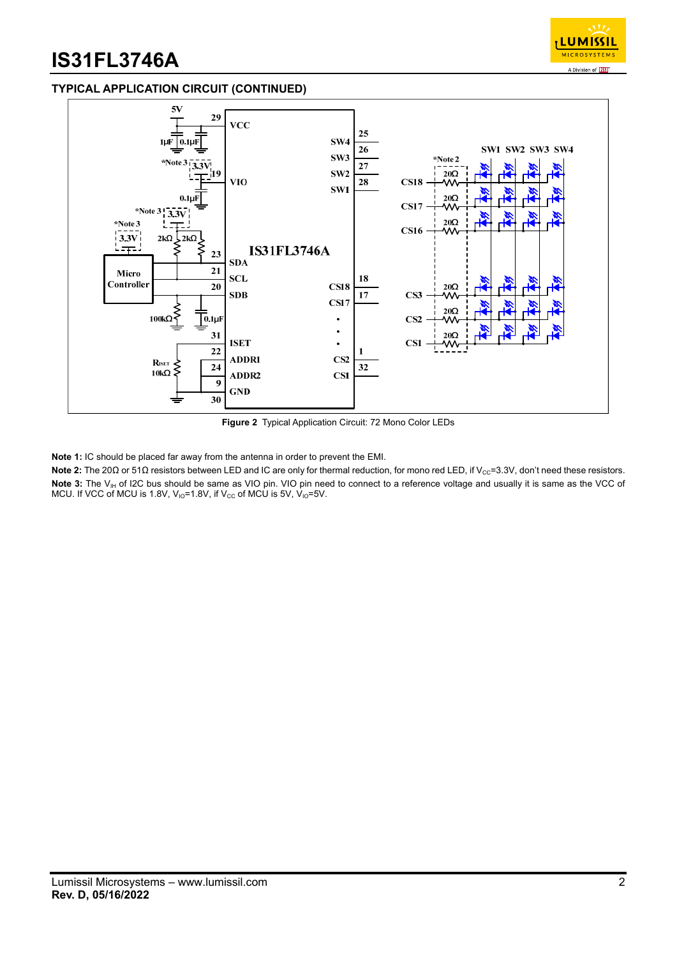

## **TYPICAL APPLICATION CIRCUIT (CONTINUED)**



**Figure 2** Typical Application Circuit: 72 Mono Color LEDs

**Note 1:** IC should be placed far away from the antenna in order to prevent the EMI.

Note 2: The 20Ω or 51Ω resistors between LED and IC are only for thermal reduction, for mono red LED, if V<sub>cc</sub>=3.3V, don't need these resistors. Note 3: The V<sub>IH</sub> of I2C bus should be same as VIO pin. VIO pin need to connect to a reference voltage and usually it is same as the VCC of MCU. If VCC of MCU is 1.8V,  $V_{10} = 1.8V$ , if  $V_{CC}$  of MCU is 5V,  $V_{10} = 5V$ .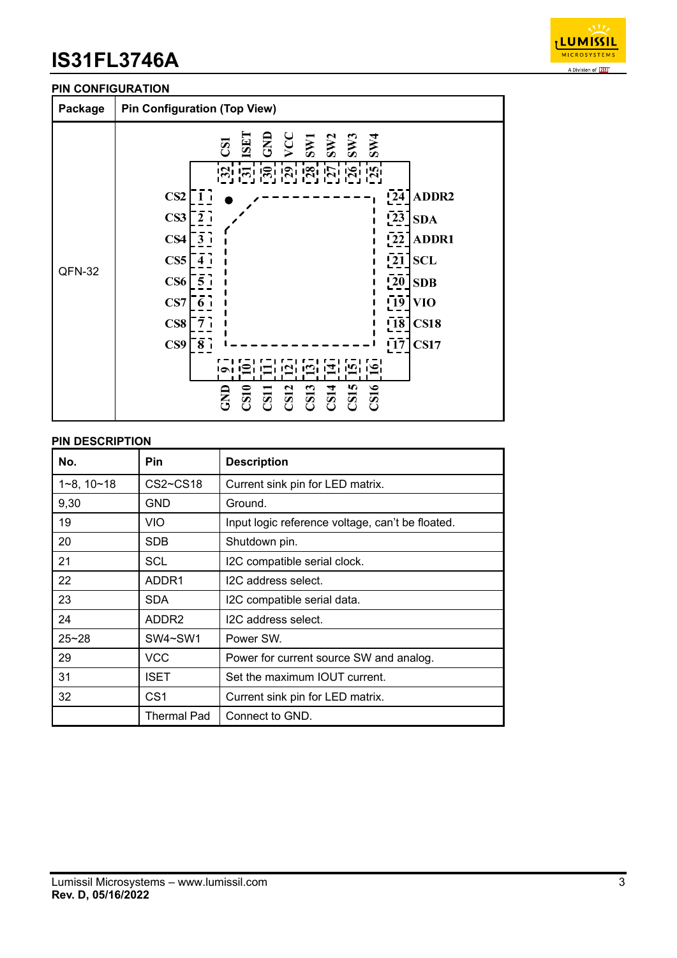

### **PIN CONFIGURATION**



### **PIN DESCRIPTION**

| No.                 | <b>Pin</b>        | <b>Description</b>                               |  |
|---------------------|-------------------|--------------------------------------------------|--|
| $1 - 8$ , $10 - 18$ | $CS2 \sim CS18$   | Current sink pin for LED matrix.                 |  |
| 9,30                | GND               | Ground.                                          |  |
| 19                  | VIO.              | Input logic reference voltage, can't be floated. |  |
| 20                  | <b>SDB</b>        | Shutdown pin.                                    |  |
| 21                  | <b>SCL</b>        | I2C compatible serial clock.                     |  |
| 22                  | ADDR1             | I2C address select.                              |  |
| 23                  | <b>SDA</b>        | I2C compatible serial data.                      |  |
| 24                  | ADDR <sub>2</sub> | I2C address select.                              |  |
| $25 - 28$           | SW4~SW1           | Power SW.                                        |  |
| 29                  | VCC               | Power for current source SW and analog.          |  |
| 31                  | <b>ISET</b>       | Set the maximum IOUT current.                    |  |
| 32                  | CS <sub>1</sub>   | Current sink pin for LED matrix.                 |  |
|                     | Thermal Pad       | Connect to GND.                                  |  |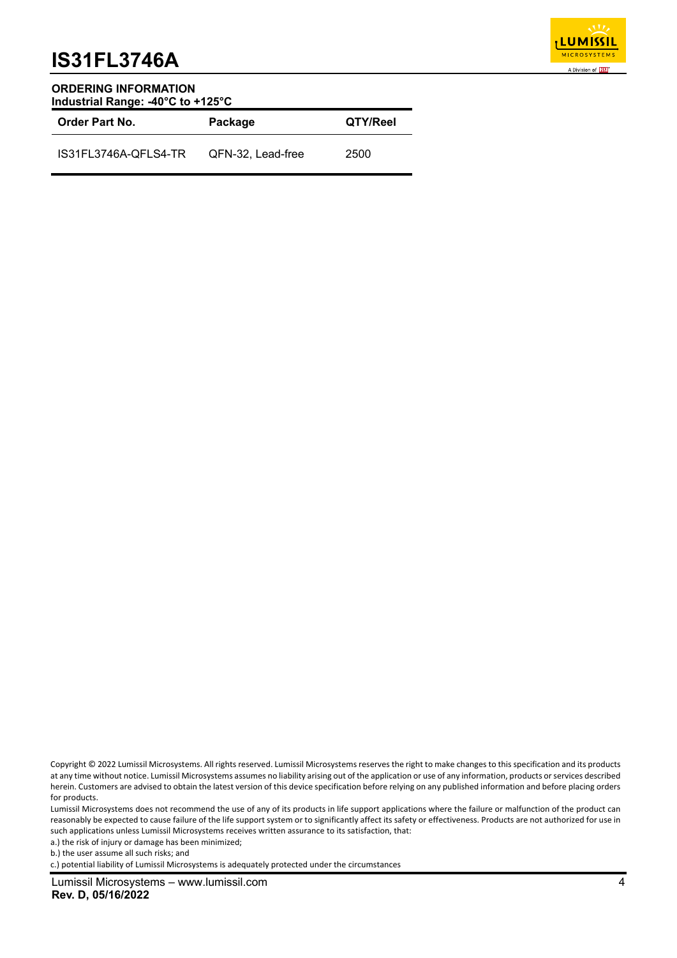

#### **ORDERING INFORMATION Industrial Range: -40°C to +125°C**

| <b>Order Part No.</b> | Package           | QTY/Reel |
|-----------------------|-------------------|----------|
| IS31FL3746A-QFLS4-TR  | QFN-32, Lead-free | 2500     |

Lumissil Microsystems does not recommend the use of any of its products in life support applications where the failure or malfunction of the product can reasonably be expected to cause failure of the life support system or to significantly affect its safety or effectiveness. Products are not authorized for use in such applications unless Lumissil Microsystems receives written assurance to its satisfaction, that:

a.) the risk of injury or damage has been minimized;

b.) the user assume all such risks; and

c.) potential liability of Lumissil Microsystems is adequately protected under the circumstances

Copyright © 2022 Lumissil Microsystems. All rights reserved. Lumissil Microsystems reserves the right to make changes to this specification and its products at any time without notice. Lumissil Microsystems assumes no liability arising out of the application or use of any information, products or services described herein. Customers are advised to obtain the latest version of this device specification before relying on any published information and before placing orders for products.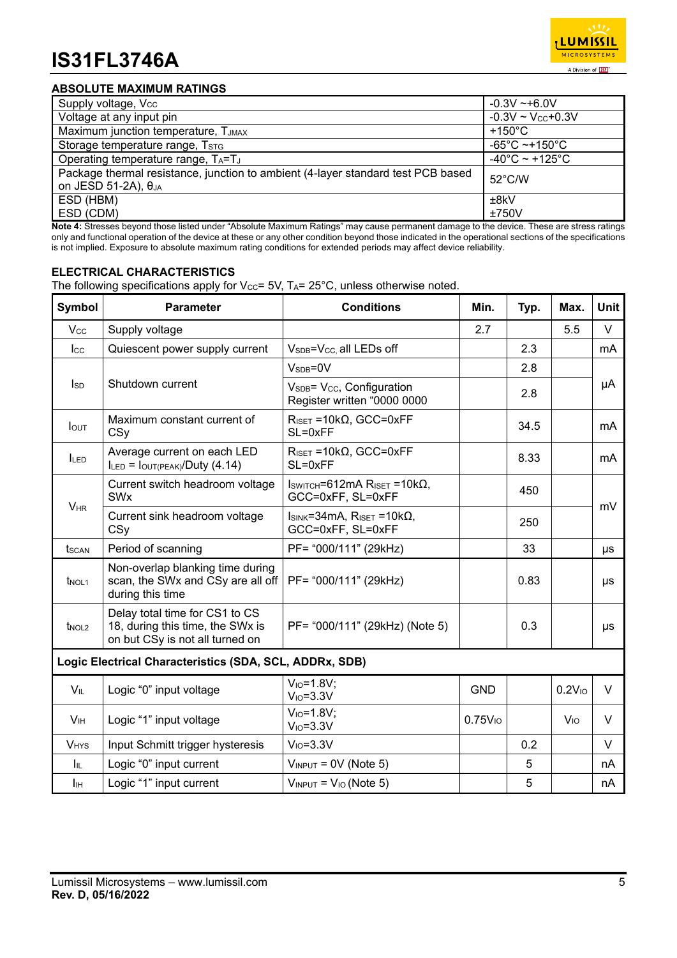

## **ABSOLUTE MAXIMUM RATINGS**

| Supply voltage, Vcc                                                                                                 | $-0.3V - 6.0V$                      |
|---------------------------------------------------------------------------------------------------------------------|-------------------------------------|
| Voltage at any input pin                                                                                            | $-0.3V \sim V_{CC} + 0.3V$          |
| Maximum junction temperature, TJMAX                                                                                 | $+150^{\circ}$ C                    |
| Storage temperature range, TSTG                                                                                     | $-65^{\circ}$ C ~+150 $^{\circ}$ C  |
| Operating temperature range, TA=TJ                                                                                  | $-40^{\circ}$ C ~ +125 $^{\circ}$ C |
| Package thermal resistance, junction to ambient (4-layer standard test PCB based<br>on JESD 51-2A), θ <sub>JA</sub> | 52°C/W                              |
| ESD (HBM)                                                                                                           | ±8kV                                |
| ESD (CDM)                                                                                                           | ±750V                               |

**Note 4:** Stresses beyond those listed under "Absolute Maximum Ratings" may cause permanent damage to the device. These are stress ratings only and functional operation of the device at these or any other condition beyond those indicated in the operational sections of the specifications is not implied. Exposure to absolute maximum rating conditions for extended periods may affect device reliability.

## **ELECTRICAL CHARACTERISTICS**

The following specifications apply for Vcc= 5V, TA=  $25^{\circ}$ C, unless otherwise noted.

| <b>Symbol</b>                                    | <b>Parameter</b>                                                                                      | <b>Conditions</b>                                                                                  | Min.                | Typ. | Max.               | Unit   |  |
|--------------------------------------------------|-------------------------------------------------------------------------------------------------------|----------------------------------------------------------------------------------------------------|---------------------|------|--------------------|--------|--|
| <b>V<sub>cc</sub></b>                            | Supply voltage                                                                                        |                                                                                                    | 2.7                 |      | 5.5                | $\vee$ |  |
| $_{\rm lcc}$                                     | Quiescent power supply current                                                                        | V <sub>SDB</sub> =V <sub>CC</sub> all LEDs off                                                     |                     | 2.3  |                    | mA     |  |
|                                                  |                                                                                                       | $VSDB=0V$                                                                                          |                     | 2.8  |                    |        |  |
| $I_{SD}$                                         | Shutdown current                                                                                      | V <sub>SDB</sub> = V <sub>CC</sub> , Configuration<br>Register written "0000 0000                  |                     | 2.8  |                    | μA     |  |
| $I_{\text{OUT}}$                                 | Maximum constant current of<br>CSy                                                                    | $R_{\text{ISET}} = 10k\Omega$ , GCC=0xFF<br>SL=0xFF                                                |                     | 34.5 |                    | mA     |  |
| <b>ILED</b>                                      | Average current on each LED<br>$I_{LED} = I_{OUT(PEAK)} / Duty(4.14)$                                 | $R_{\text{ISET}} = 10k\Omega$ , GCC=0xFF<br>SL=0xFF                                                |                     | 8.33 |                    | mA     |  |
|                                                  | Current switch headroom voltage<br><b>SW<sub>x</sub></b>                                              | $I_{SWITCH} = 612 \text{mA}$ R <sub>ISET</sub> = 10k $\Omega$ ,<br>GCC=0xFF, SL=0xFF               |                     | 450  |                    | mV     |  |
| $V_{HR}$<br>Current sink headroom voltage<br>CSy |                                                                                                       | $I_{\text{SINK}} = 34 \text{mA}, \text{R}_{\text{ISET}} = 10 \text{k}\Omega,$<br>GCC=0xFF, SL=0xFF |                     | 250  |                    |        |  |
| tscan                                            | Period of scanning                                                                                    | PF= "000/111" (29kHz)                                                                              |                     | 33   |                    | μs     |  |
| $t_{NOL1}$                                       | Non-overlap blanking time during<br>scan, the SWx and CSy are all off<br>during this time             | PF= "000/111" (29kHz)                                                                              |                     | 0.83 |                    | μs     |  |
| $t_{NOL2}$                                       | Delay total time for CS1 to CS<br>18, during this time, the SWx is<br>on but CSy is not all turned on | PF= "000/111" (29kHz) (Note 5)                                                                     |                     | 0.3  |                    | μs     |  |
|                                                  | Logic Electrical Characteristics (SDA, SCL, ADDRx, SDB)                                               |                                                                                                    |                     |      |                    |        |  |
| $V_{IL}$                                         | Logic "0" input voltage                                                                               | $V_{IO} = 1.8V$ ;<br>$V_{IO} = 3.3V$                                                               | <b>GND</b>          |      | 0.2V <sub>10</sub> | V      |  |
| V <sub>IH</sub>                                  | Logic "1" input voltage                                                                               | $V_{10} = 1.8V$ ;<br>$V_{IO} = 3.3V$                                                               | 0.75V <sub>10</sub> |      | V <sub>IO</sub>    | $\vee$ |  |
| <b>VHYS</b>                                      | Input Schmitt trigger hysteresis                                                                      | $V_{IO} = 3.3V$                                                                                    |                     | 0.2  |                    | V      |  |
| Iц.                                              | Logic "0" input current                                                                               | $V_{INPUT} = 0V$ (Note 5)                                                                          |                     | 5    |                    | nA     |  |
| Iн                                               | Logic "1" input current                                                                               | $V_{INPUT} = V_{IO}$ (Note 5)                                                                      |                     | 5    |                    | nA     |  |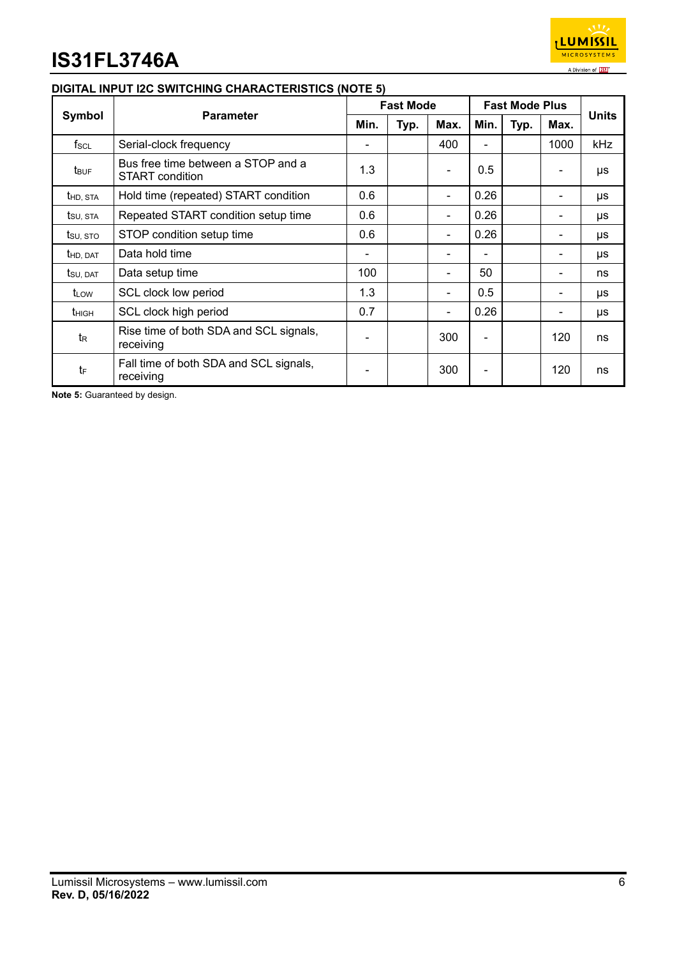

## **DIGITAL INPUT I2C SWITCHING CHARACTERISTICS (NOTE 5)**

|                       | <b>Parameter</b>                                      |     | <b>Fast Mode</b> |      |                | <b>Fast Mode Plus</b> |          |              |
|-----------------------|-------------------------------------------------------|-----|------------------|------|----------------|-----------------------|----------|--------------|
| Symbol                |                                                       |     | Typ.             | Max. | Min.           | Typ.                  | Max.     | <b>Units</b> |
| $f_{SCL}$             | Serial-clock frequency                                | ۰   |                  | 400  | $\blacksquare$ |                       | 1000     | <b>kHz</b>   |
| t <sub>BUF</sub>      | Bus free time between a STOP and a<br>START condition |     |                  |      | 0.5            |                       |          | μs           |
| t <sub>HD, STA</sub>  | Hold time (repeated) START condition                  | 0.6 |                  |      | 0.26           |                       | $\equiv$ | μs           |
| tsu, sta              | Repeated START condition setup time                   | 0.6 |                  |      | 0.26           |                       | -        | μs           |
| tsu, sto              | STOP condition setup time                             | 0.6 |                  |      | 0.26           |                       |          | μs           |
| t <sub>HD</sub> , DAT | Data hold time                                        | -   |                  |      | -              |                       | -        | μs           |
| tsu, dat              | Data setup time                                       | 100 |                  |      | 50             |                       | -        | ns           |
| t <sub>LOW</sub>      | SCL clock low period                                  | 1.3 |                  |      | 0.5            |                       | -        | μs           |
| t <sub>HIGH</sub>     | SCL clock high period                                 | 0.7 |                  |      | 0.26           |                       |          | μs           |
| $t_{R}$               | Rise time of both SDA and SCL signals,<br>receiving   |     |                  | 300  |                |                       | 120      | ns           |
| tF                    | Fall time of both SDA and SCL signals,<br>receiving   |     |                  | 300  |                |                       | 120      | ns           |

**Note 5:** Guaranteed by design.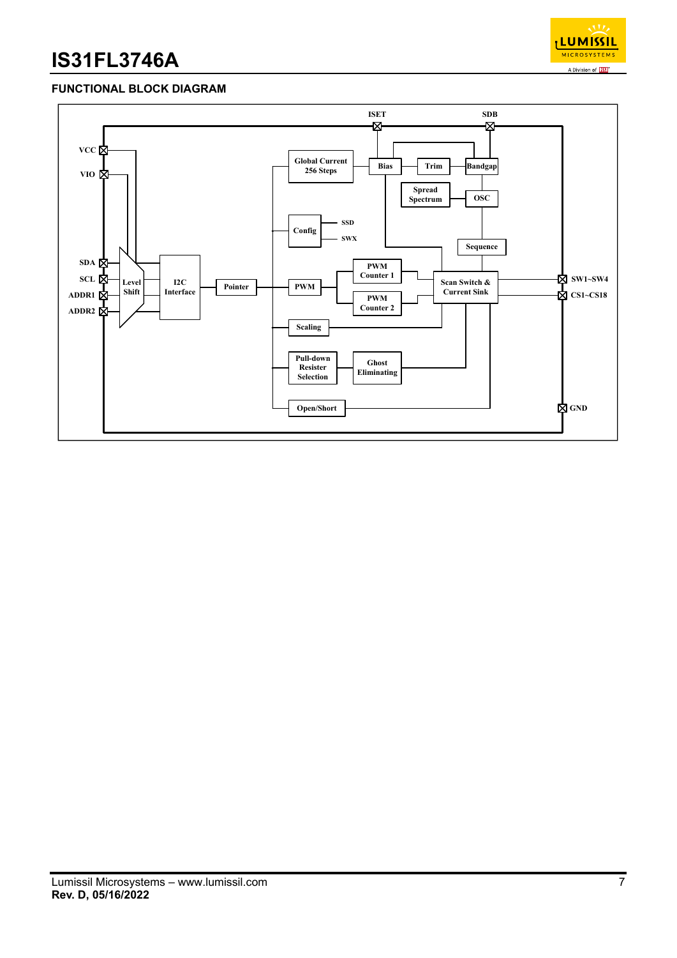

## **FUNCTIONAL BLOCK DIAGRAM**

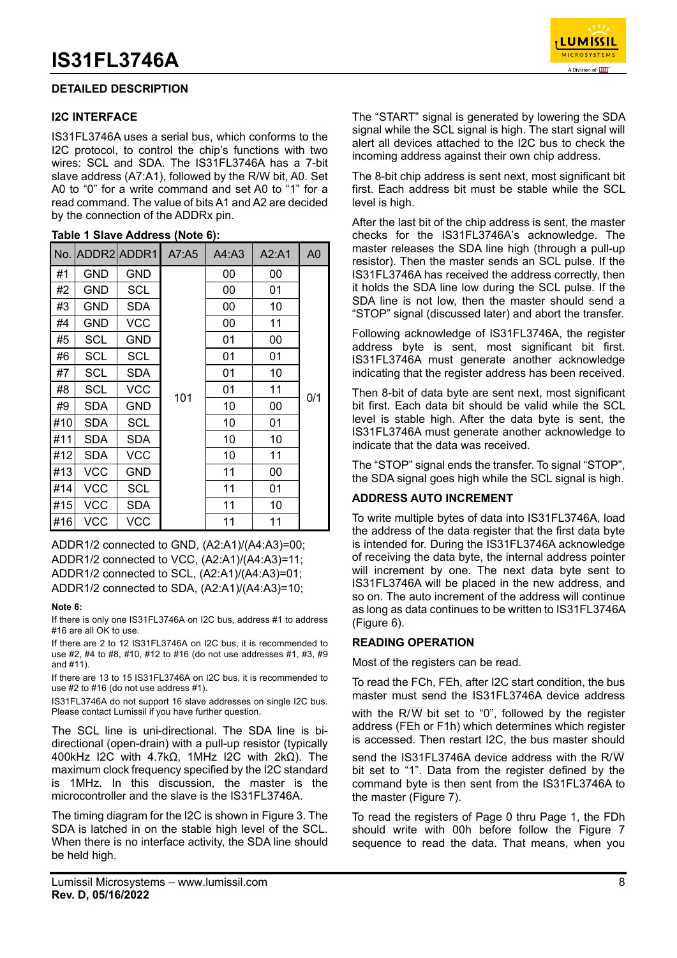## **DETAILED DESCRIPTION**

#### **I2C INTERFACE**

IS31FL3746A uses a serial bus, which conforms to the I2C protocol, to control the chip's functions with two wires: SCL and SDA. The IS31FL3746A has a 7-bit slave address (A7:A1), followed by the R/W bit, A0. Set A0 to "0" for a write command and set A0 to "1" for a read command. The value of bits A1 and A2 are decided by the connection of the ADDRx pin.

|     |            | No. ADDR2 ADDR1 | A7:A5 | A4: A3 | A2:A1 | A0  |
|-----|------------|-----------------|-------|--------|-------|-----|
| #1  | <b>GND</b> | <b>GND</b>      |       | 00     | 00    |     |
| #2  | <b>GND</b> | <b>SCL</b>      |       | 00     | 01    |     |
| #3  | GND        | <b>SDA</b>      |       | 00     | 10    |     |
| #4  | <b>GND</b> | <b>VCC</b>      |       | 00     | 11    |     |
| #5  | <b>SCL</b> | <b>GND</b>      |       | 01     | 00    |     |
| #6  | <b>SCL</b> | <b>SCL</b>      |       | 01     | 01    |     |
| #7  | SCL        | <b>SDA</b>      |       | 01     | 10    |     |
| #8  | SCL        | <b>VCC</b>      |       | 01     | 11    |     |
| #9  | <b>SDA</b> | <b>GND</b>      | 101   | 10     | 00    | 0/1 |
| #10 | <b>SDA</b> | SCL             |       | 10     | 01    |     |
| #11 | <b>SDA</b> | SDA             |       | 10     | 10    |     |
| #12 | <b>SDA</b> | <b>VCC</b>      |       | 10     | 11    |     |
| #13 | <b>VCC</b> | <b>GND</b>      |       | 11     | 00    |     |
| #14 | <b>VCC</b> | <b>SCL</b>      |       | 11     | 01    |     |
| #15 | <b>VCC</b> | <b>SDA</b>      |       | 11     | 10    |     |
| #16 | <b>VCC</b> | <b>VCC</b>      |       | 11     | 11    |     |

#### **Table 1 Slave Address (Note 6):**

ADDR1/2 connected to GND, (A2:A1)/(A4:A3)=00; ADDR1/2 connected to VCC, (A2:A1)/(A4:A3)=11; ADDR1/2 connected to SCL, (A2:A1)/(A4:A3)=01; ADDR1/2 connected to SDA, (A2:A1)/(A4:A3)=10;

#### **Note 6:**

If there is only one IS31FL3746A on I2C bus, address #1 to address #16 are all OK to use.

If there are 2 to 12 IS31FL3746A on I2C bus, it is recommended to use #2, #4 to #8, #10, #12 to #16 (do not use addresses #1, #3, #9 and #11).

If there are 13 to 15 IS31FL3746A on I2C bus, it is recommended to use #2 to #16 (do not use address #1).

IS31FL3746A do not support 16 slave addresses on single I2C bus. Please contact Lumissil if you have further question.

The SCL line is uni-directional. The SDA line is bidirectional (open-drain) with a pull-up resistor (typically 400kHz I2C with 4.7kΩ, 1MHz I2C with 2kΩ). The maximum clock frequency specified by the I2C standard is 1MHz. In this discussion, the master is the microcontroller and the slave is the IS31FL3746A.

The timing diagram for the I2C is shown in Figure 3. The SDA is latched in on the stable high level of the SCL. When there is no interface activity, the SDA line should be held high.



The "START" signal is generated by lowering the SDA signal while the SCL signal is high. The start signal will alert all devices attached to the I2C bus to check the incoming address against their own chip address.

The 8-bit chip address is sent next, most significant bit first. Each address bit must be stable while the SCL level is high.

After the last bit of the chip address is sent, the master checks for the IS31FL3746A's acknowledge. The master releases the SDA line high (through a pull-up resistor). Then the master sends an SCL pulse. If the IS31FL3746A has received the address correctly, then it holds the SDA line low during the SCL pulse. If the SDA line is not low, then the master should send a "STOP" signal (discussed later) and abort the transfer.

Following acknowledge of IS31FL3746A, the register address byte is sent, most significant bit first. IS31FL3746A must generate another acknowledge indicating that the register address has been received.

Then 8-bit of data byte are sent next, most significant bit first. Each data bit should be valid while the SCL level is stable high. After the data byte is sent, the IS31FL3746A must generate another acknowledge to indicate that the data was received.

The "STOP" signal ends the transfer. To signal "STOP", the SDA signal goes high while the SCL signal is high.

## **ADDRESS AUTO INCREMENT**

To write multiple bytes of data into IS31FL3746A, load the address of the data register that the first data byte is intended for. During the IS31FL3746A acknowledge of receiving the data byte, the internal address pointer will increment by one. The next data byte sent to IS31FL3746A will be placed in the new address, and so on. The auto increment of the address will continue as long as data continues to be written to IS31FL3746A (Figure 6).

### **READING OPERATION**

Most of the registers can be read.

To read the FCh, FEh, after I2C start condition, the bus master must send the IS31FL3746A device address

with the R/ $\overline{W}$  bit set to "0", followed by the register address (FEh or F1h) which determines which register is accessed. Then restart I2C, the bus master should

send the IS31FL3746A device address with the R/ $\overline{W}$ bit set to "1". Data from the register defined by the command byte is then sent from the IS31FL3746A to the master (Figure 7).

To read the registers of Page 0 thru Page 1, the FDh should write with 00h before follow the Figure 7 sequence to read the data. That means, when you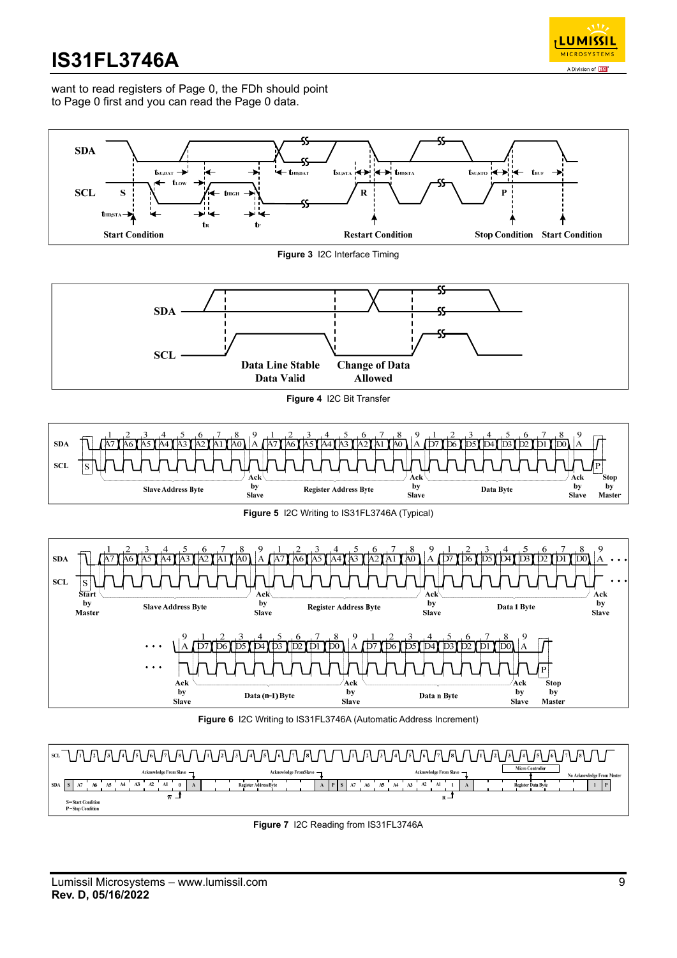

want to read registers of Page 0, the FDh should point to Page 0 first and you can read the Page 0 data.



**Figure 7** I2C Reading from IS31FL3746A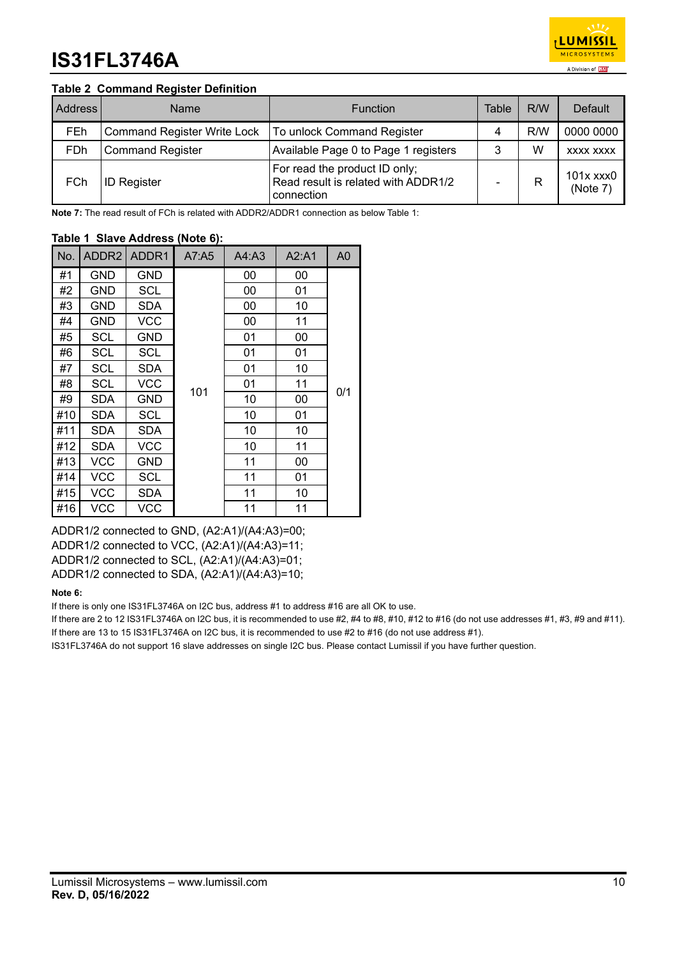

## **Table 2 Command Register Definition**

| Address | Name                               | Table<br><b>Function</b>                                                           |   | R/W | Default               |
|---------|------------------------------------|------------------------------------------------------------------------------------|---|-----|-----------------------|
| FEh     | <b>Command Register Write Lock</b> | To unlock Command Register                                                         | 4 | R/W | 0000 0000             |
| FDh     | <b>Command Register</b>            | Available Page 0 to Page 1 registers                                               | 3 | W   | XXXX XXXX             |
| FCh     | <b>ID Register</b>                 | For read the product ID only;<br>Read result is related with ADDR1/2<br>connection |   |     | 101x xxx0<br>(Note 7) |

**Note 7:** The read result of FCh is related with ADDR2/ADDR1 connection as below Table 1:

### **Table 1 Slave Address (Note 6):**

| No. | ADDR <sub>2</sub> | ADDR1      | A7:A5 | A4: A3 | A2: A1 | A <sub>0</sub> |
|-----|-------------------|------------|-------|--------|--------|----------------|
| #1  | GND               | GND        |       | 00     | 00     |                |
| #2  | GND               | <b>SCL</b> |       | 00     | 01     |                |
| #3  | GND               | <b>SDA</b> |       | 00     | 10     |                |
| #4  | GND               | <b>VCC</b> |       | 00     | 11     |                |
| #5  | <b>SCL</b>        | <b>GND</b> |       | 01     | 00     |                |
| #6  | <b>SCL</b>        | SCL        |       | 01     | 01     |                |
| #7  | SCL               | SDA        |       | 01     | 10     |                |
| #8  | <b>SCL</b>        | <b>VCC</b> |       | 01     | 11     |                |
| #9  | SDA               | GND        | 101   | 10     | 00     | 0/1            |
| #10 | <b>SDA</b>        | SCL        |       | 10     | 01     |                |
| #11 | SDA               | <b>SDA</b> |       | 10     | 10     |                |
| #12 | <b>SDA</b>        | VCC        |       | 10     | 11     |                |
| #13 | <b>VCC</b>        | GND        |       | 11     | 00     |                |
| #14 | <b>VCC</b>        | SCL        |       | 11     | 01     |                |
| #15 | <b>VCC</b>        | <b>SDA</b> |       | 11     | 10     |                |
| #16 | VCC               | <b>VCC</b> |       | 11     | 11     |                |

ADDR1/2 connected to GND, (A2:A1)/(A4:A3)=00; ADDR1/2 connected to VCC, (A2:A1)/(A4:A3)=11; ADDR1/2 connected to SCL, (A2:A1)/(A4:A3)=01; ADDR1/2 connected to SDA, (A2:A1)/(A4:A3)=10;

#### **Note 6:**

If there is only one IS31FL3746A on I2C bus, address #1 to address #16 are all OK to use.

If there are 2 to 12 IS31FL3746A on I2C bus, it is recommended to use  $#2, #4$  to  $#8, #10, #12$  to  $#16$  (do not use addresses  $#1, #3, #9$  and  $#11$ ). If there are 13 to 15 IS31FL3746A on I2C bus, it is recommended to use #2 to #16 (do not use address #1).

IS31FL3746A do not support 16 slave addresses on single I2C bus. Please contact Lumissil if you have further question.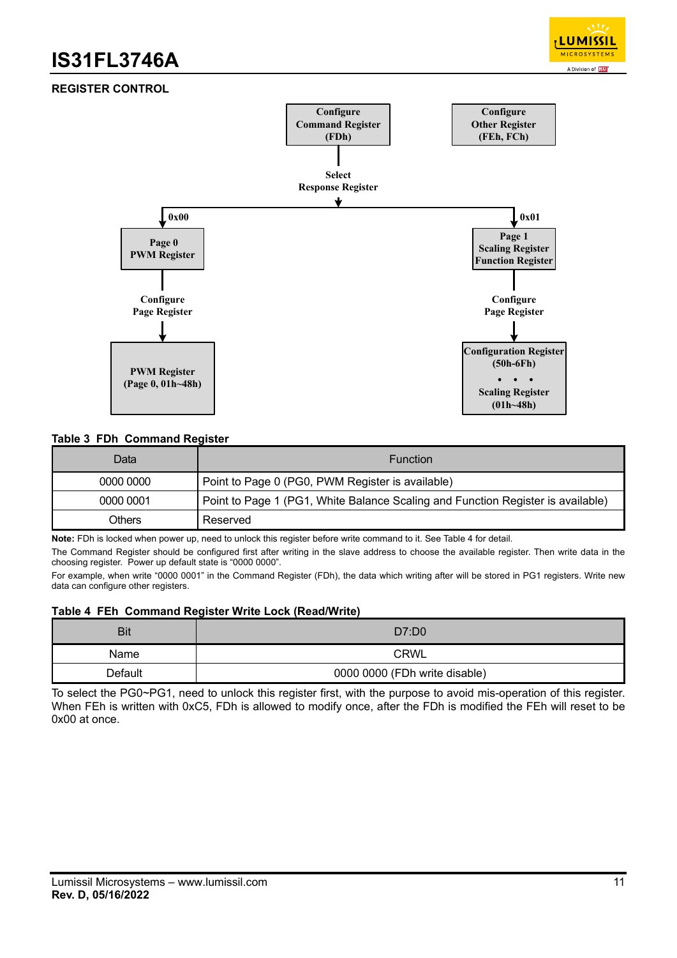

## **REGISTER CONTROL**



#### **Table 3 FDh Command Register**

| Datal     | <b>Function</b>                                                                 |
|-----------|---------------------------------------------------------------------------------|
| 0000 0000 | Point to Page 0 (PG0, PWM Register is available)                                |
| 0000 0001 | Point to Page 1 (PG1, White Balance Scaling and Function Register is available) |
| Others    | Reserved                                                                        |

**Note:** FDh is locked when power up, need to unlock this register before write command to it. See Table 4 for detail.

The Command Register should be configured first after writing in the slave address to choose the available register. Then write data in the choosing register. Power up default state is "0000 0000".

For example, when write "0000 0001" in the Command Register (FDh), the data which writing after will be stored in PG1 registers. Write new data can configure other registers.

#### **Table 4 FEh Command Register Write Lock (Read/Write)**

| Bit     | D7:DD0                        |  |
|---------|-------------------------------|--|
| Name    | <b>CRWL</b>                   |  |
| Default | 0000 0000 (FDh write disable) |  |

To select the PG0~PG1, need to unlock this register first, with the purpose to avoid mis-operation of this register. When FEh is written with 0xC5, FDh is allowed to modify once, after the FDh is modified the FEh will reset to be 0x00 at once.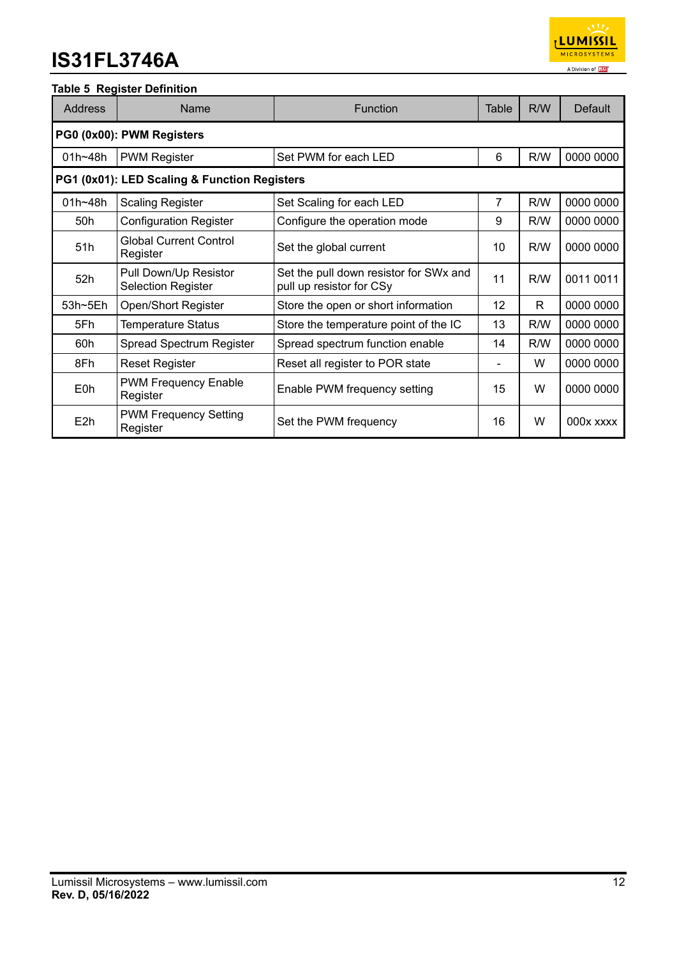

## **Table 5 Register Definition**

| <b>Address</b>                               | Name                                               | <b>Function</b><br>Table                                           |    | R/W | <b>Default</b> |
|----------------------------------------------|----------------------------------------------------|--------------------------------------------------------------------|----|-----|----------------|
|                                              | PG0 (0x00): PWM Registers                          |                                                                    |    |     |                |
| 01h~48h                                      | <b>PWM Register</b>                                | Set PWM for each LED                                               | 6  | R/W | 0000 0000      |
| PG1 (0x01): LED Scaling & Function Registers |                                                    |                                                                    |    |     |                |
| $01h - 48h$                                  | <b>Scaling Register</b>                            | Set Scaling for each LED                                           | 7  | R/W | 0000 0000      |
| 50h                                          | <b>Configuration Register</b>                      | Configure the operation mode                                       | 9  | R/W | 0000 0000      |
| 51h                                          | <b>Global Current Control</b><br>Register          | Set the global current                                             | 10 | R/W | 0000 0000      |
| 52h                                          | Pull Down/Up Resistor<br><b>Selection Register</b> | Set the pull down resistor for SWx and<br>pull up resistor for CSy | 11 | R/W | 0011 0011      |
| 53h~5Eh                                      | <b>Open/Short Register</b>                         | Store the open or short information                                | 12 | R.  | 0000 0000      |
| 5Fh                                          | <b>Temperature Status</b>                          | Store the temperature point of the IC                              | 13 | R/W | 0000 0000      |
| 60h                                          | Spread Spectrum Register                           | Spread spectrum function enable                                    | 14 | R/W | 0000 0000      |
| 8Fh                                          | <b>Reset Register</b>                              | Reset all register to POR state                                    |    | W   | 0000 0000      |
| E0h                                          | <b>PWM Frequency Enable</b><br>Register            | Enable PWM frequency setting                                       | 15 | W   | 0000 0000      |
| E2h                                          | <b>PWM Frequency Setting</b><br>Register           | Set the PWM frequency                                              | 16 | W   | 000x xxxx      |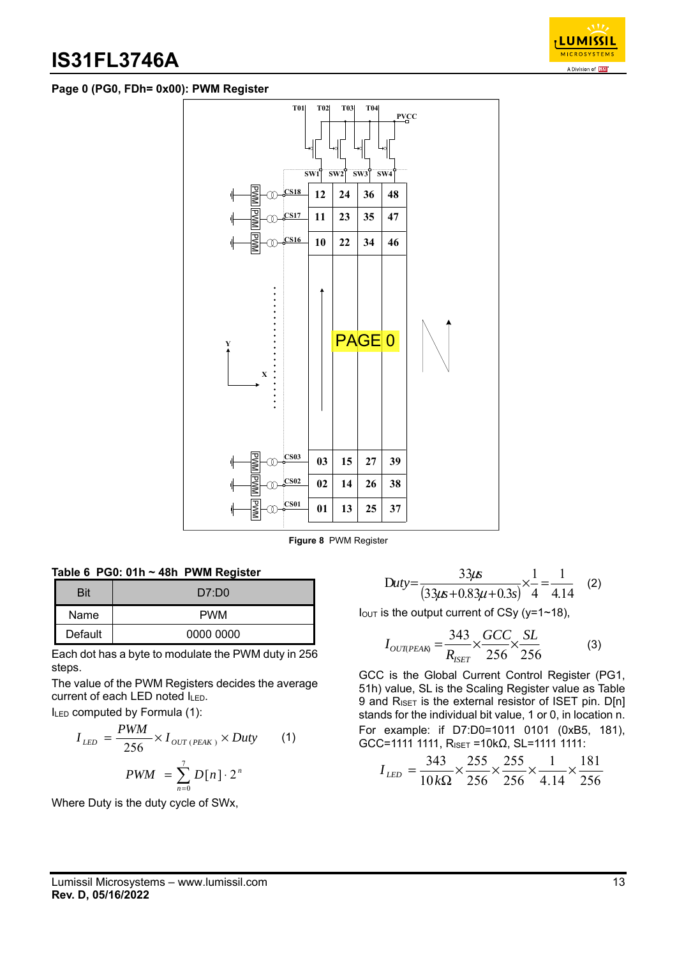

## **Page 0 (PG0, FDh= 0x00): PWM Register**



**Figure 8** PWM Register

| Table 6 PG0: 01h $\sim$ 48h PWM Register |  |
|------------------------------------------|--|
|------------------------------------------|--|

| <b>Bit</b> | D7:DD0     |
|------------|------------|
| Name       | <b>PWM</b> |
| Default    | 0000 0000  |

Each dot has a byte to modulate the PWM duty in 256 steps.

The value of the PWM Registers decides the average current of each LED noted ILED.

ILED computed by Formula (1):

$$
I_{LED} = \frac{PWM}{256} \times I_{OUT (PEAK)} \times Duty
$$
 (1)  
 
$$
PWM = \sum_{n=0}^{7} D[n] \cdot 2^n
$$

Where Duty is the duty cycle of SWx,

$$
Duty = \frac{33\mu s}{(33\mu s + 0.83\mu + 0.3s)} \times \frac{1}{4} = \frac{1}{4.14}
$$
 (2)

 $I_{\text{OUT}}$  is the output current of CSy (y=1~18),

$$
I_{OUTPEAR} = \frac{343}{R_{ISET}} \times \frac{GCC}{256} \times \frac{SL}{256}
$$
 (3)

GCC is the Global Current Control Register (PG1, 51h) value, SL is the Scaling Register value as Table 9 and RISET is the external resistor of ISET pin. D[n] stands for the individual bit value, 1 or 0, in location n. For example: if D7:D0=1011 0101 (0xB5, 181), GCC=1111 1111,  $R_{ISET} = 10kΩ$ , SL=1111 1111:

$$
I_{LED} = \frac{343}{10k\Omega} \times \frac{255}{256} \times \frac{255}{256} \times \frac{1}{4.14} \times \frac{181}{256}
$$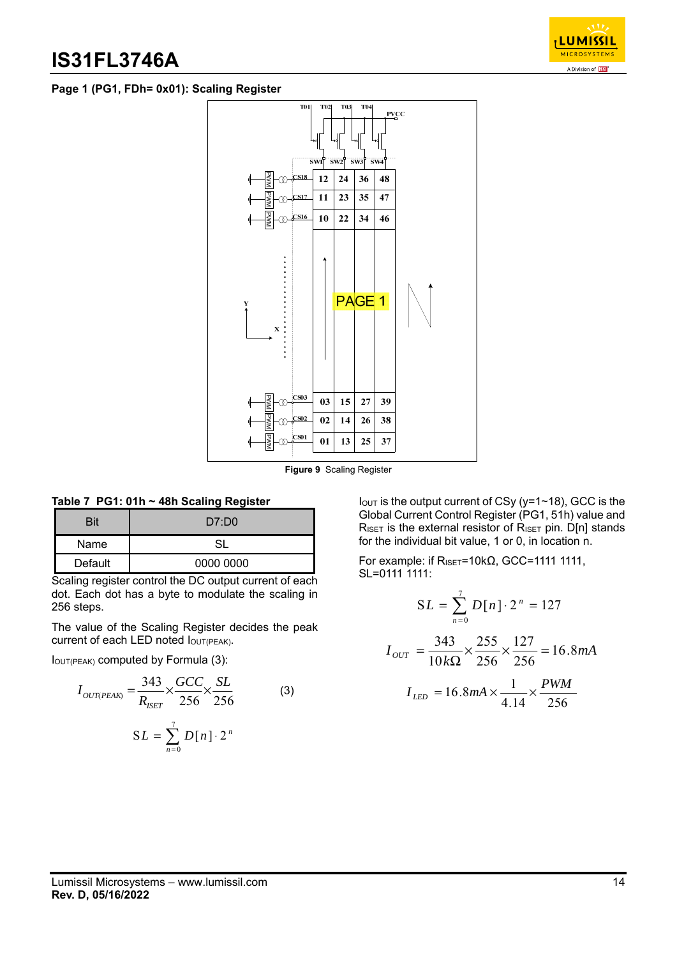

## **Page 1 (PG1, FDh= 0x01): Scaling Register**



**Figure 9** Scaling Register

## **Table 7 PG1: 01h ~ 48h Scaling Register**

| Rit     | D7:DD0    |
|---------|-----------|
| Name    | S١        |
| Default | 0000 0000 |

Scaling register control the DC output current of each dot. Each dot has a byte to modulate the scaling in 256 steps.

The value of the Scaling Register decides the peak current of each LED noted  $I_{\text{OUT(PEAK)}}$ .

IOUT(PEAK) computed by Formula (3):

$$
I_{OUT(PEAK)} = \frac{343}{R_{ISET}} \times \frac{GCC}{256} \times \frac{SL}{256}
$$
 (3)  

$$
SL = \sum_{n=0}^{7} D[n] \cdot 2^{n}
$$

 $I<sub>OUT</sub>$  is the output current of CSy (y=1~18), GCC is the Global Current Control Register (PG1, 51h) value and  $R_{\text{ISET}}$  is the external resistor of  $R_{\text{ISET}}$  pin. D[n] stands for the individual bit value, 1 or 0, in location n.

For example: if R<sub>ISET</sub>=10kΩ, GCC=1111 1111, SL=0111 1111:

$$
SL = \sum_{n=0}^{7} D[n] \cdot 2^{n} = 127
$$
  

$$
I_{OUT} = \frac{343}{10k\Omega} \times \frac{255}{256} \times \frac{127}{256} = 16.8mA
$$
  

$$
I_{LED} = 16.8mA \times \frac{1}{4.14} \times \frac{PWM}{256}
$$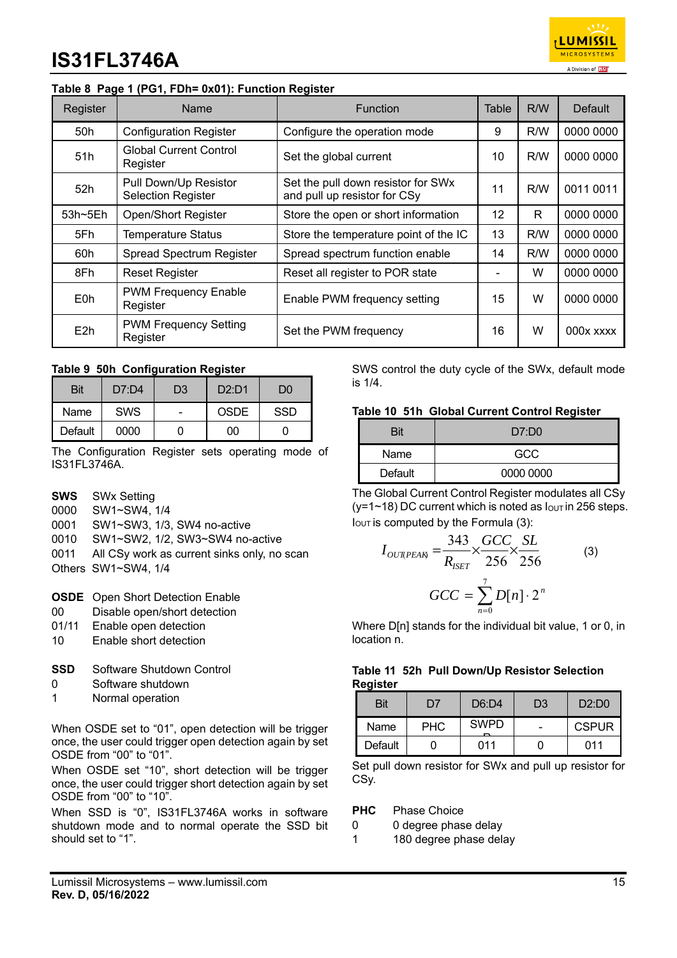

## **Table 8 Page 1 (PG1, FDh= 0x01): Function Register**

| Register         | Name                                               | <b>Function</b>                                                    | Table             | R/W | Default     |
|------------------|----------------------------------------------------|--------------------------------------------------------------------|-------------------|-----|-------------|
| 50h              | <b>Configuration Register</b>                      | Configure the operation mode                                       | 9                 | R/W | 0000 0000   |
| 51h              | <b>Global Current Control</b><br>Register          | Set the global current                                             | 10                | R/W | 0000 0000   |
| 52h              | Pull Down/Up Resistor<br><b>Selection Register</b> | Set the pull down resistor for SWx<br>and pull up resistor for CSy | 11                | R/W | 0011 0011   |
| $53h - 5Eh$      | <b>Open/Short Register</b>                         | Store the open or short information                                | $12 \overline{ }$ | R.  | 0000 0000   |
| 5Fh              | <b>Temperature Status</b>                          | Store the temperature point of the IC                              | 13                | R/W | 0000 0000   |
| 60h              | Spread Spectrum Register                           | Spread spectrum function enable                                    | 14                | R/W | 0000 0000   |
| 8Fh              | <b>Reset Register</b>                              | Reset all register to POR state                                    |                   | W   | 0000 0000   |
| E0h              | <b>PWM Frequency Enable</b><br>Register            | Enable PWM frequency setting                                       | 15                | W   | 0000 0000   |
| E <sub>2</sub> h | <b>PWM Frequency Setting</b><br>Register           | Set the PWM frequency                                              | 16                | W   | $000x$ xxxx |

### **Table 9 50h Configuration Register**

| <b>Bit</b> | D7:DA      | D3 | D2:DT1 | D0  |
|------------|------------|----|--------|-----|
| Name       | <b>SWS</b> | ۰  | OSDE   | SSD |
| Default    | 0000       |    | იი     |     |

The Configuration Register sets operating mode of IS31FL3746A.

- **SWS** SWx Setting
- 0000 SW1~SW4, 1/4
- 0001 SW1~SW3, 1/3, SW4 no-active
- 0010 SW1~SW2, 1/2, SW3~SW4 no-active
- 0011 All CSy work as current sinks only, no scan
- Others SW1~SW4, 1/4
- **OSDE** Open Short Detection Enable
- 00 Disable open/short detection
- 01/11 Enable open detection
- 10 Enable short detection
- **SSD** Software Shutdown Control
- 0 Software shutdown
- 1 Normal operation

When OSDE set to "01", open detection will be trigger once, the user could trigger open detection again by set OSDE from "00" to "01".

When OSDE set "10", short detection will be trigger once, the user could trigger short detection again by set OSDE from "00" to "10".

When SSD is "0", IS31FL3746A works in software shutdown mode and to normal operate the SSD bit should set to "1".

SWS control the duty cycle of the SWx, default mode is 1/4.

#### **Table 10 51h Global Current Control Register**

| Bit     | D7:DD0    |
|---------|-----------|
| Name    | GCC       |
| Default | 0000 0000 |

The Global Current Control Register modulates all CSy ( $y=1$ ~18) DC current which is noted as  $I_{\text{OUT}}$  in 256 steps.  $I<sub>OUT</sub>$  is computed by the Formula (3):

$$
I_{OUTPEAR} = \frac{343}{R_{ISET}} \times \frac{GCC}{256} \times \frac{SL}{256}
$$
 (3)  

$$
GCC = \sum_{n=0}^{7} D[n] \cdot 2^n
$$

Where D[n] stands for the individual bit value, 1 or 0, in location n.

### **Table 11 52h Pull Down/Up Resistor Selection Register**

| Bit     | D7         | D6:DA       | D3 | $D2 \cdot D0$ |
|---------|------------|-------------|----|---------------|
| Name    | <b>PHC</b> | <b>SWPD</b> |    | CSPUR         |
| Default |            | 011         |    | 011           |

Set pull down resistor for SWx and pull up resistor for CSy.

#### **PHC** Phase Choice

- 0 0 degree phase delay
- 1 180 degree phase delay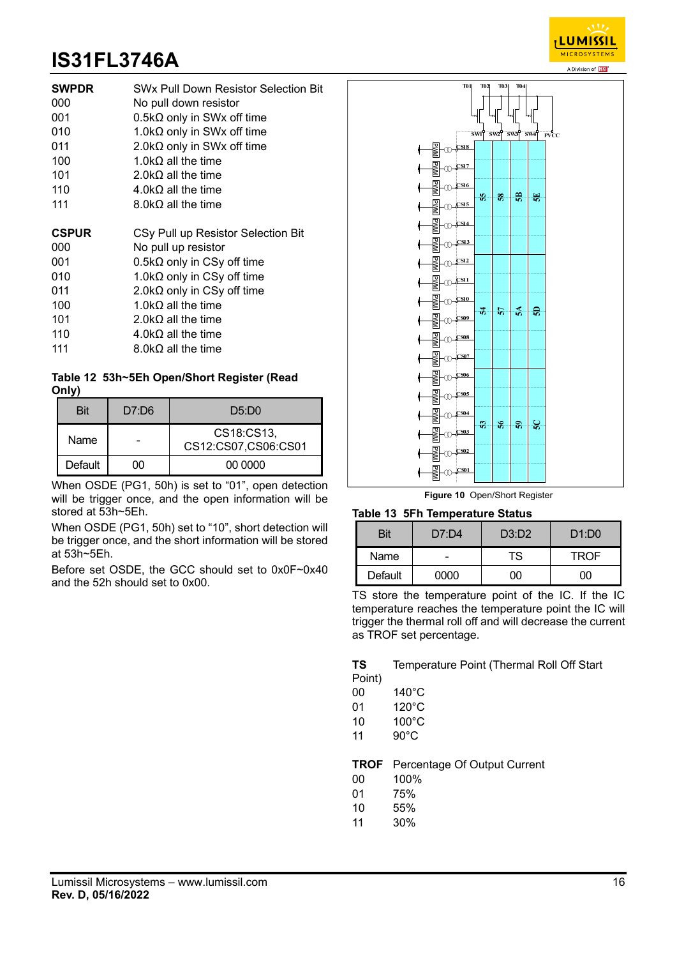

| <b>SWPDR</b> | <b>SW<sub>x</sub> Pull Down Resistor Selection Bit</b> |  |  |
|--------------|--------------------------------------------------------|--|--|
| 000          | No pull down resistor                                  |  |  |
| 001          | $0.5k\Omega$ only in SWx off time                      |  |  |
| 010          | 1.0k $\Omega$ only in SWx off time                     |  |  |
| 011          | 2.0k $\Omega$ only in SWx off time                     |  |  |
| 100          | 1.0k $\Omega$ all the time                             |  |  |
| 101          | 2.0k $\Omega$ all the time                             |  |  |
| 110          | $4.0 \text{k}\Omega$ all the time                      |  |  |
| 111          | 8.0k $\Omega$ all the time                             |  |  |
|              |                                                        |  |  |
|              |                                                        |  |  |
| <b>CSPUR</b> | CSy Pull up Resistor Selection Bit                     |  |  |
| 000          | No pull up resistor                                    |  |  |
| 001          | $0.5k\Omega$ only in CSy off time                      |  |  |
| 010          | 1.0k $\Omega$ only in CSy off time                     |  |  |
| 011          | 2.0k $\Omega$ only in CSy off time                     |  |  |
| 100          | 1.0k $\Omega$ all the time                             |  |  |
| 101          | 2.0k $\Omega$ all the time                             |  |  |
| 110          | $4.0$ k $\Omega$ all the time                          |  |  |
| 111          | 8.0kΩ all the time                                     |  |  |

## **Table 12 53h~5Eh Open/Short Register (Read Only)**

| Bit     | D7:DB | D5:DD0                            |
|---------|-------|-----------------------------------|
| Name    |       | CS18:CS13,<br>CS12:CS07,CS06:CS01 |
| Default | мı    | 00 0000                           |

When OSDE (PG1, 50h) is set to "01", open detection will be trigger once, and the open information will be stored at 53h~5Eh.

When OSDE (PG1, 50h) set to "10", short detection will be trigger once, and the short information will be stored at 53h~5Eh.

Before set OSDE, the GCC should set to 0x0F~0x40 and the 52h should set to 0x00.



**Figure 10** Open/Short Register

### **Table 13 5Fh Temperature Status**

| Bit     | D7:DA | D3: D2 | D1:DO |
|---------|-------|--------|-------|
| Name    | -     | TS     | TROF  |
| Default | 0000  |        | 'n    |

TS store the temperature point of the IC. If the IC temperature reaches the temperature point the IC will trigger the thermal roll off and will decrease the current as TROF set percentage.

**TS** Temperature Point (Thermal Roll Off Start Point)

- 00 140°C
- 01 120°C
- 10 100°C
- 11 90°C

**TROF** Percentage Of Output Current

- 00 100%
- 01 75%
- 10 55%
- 11 30%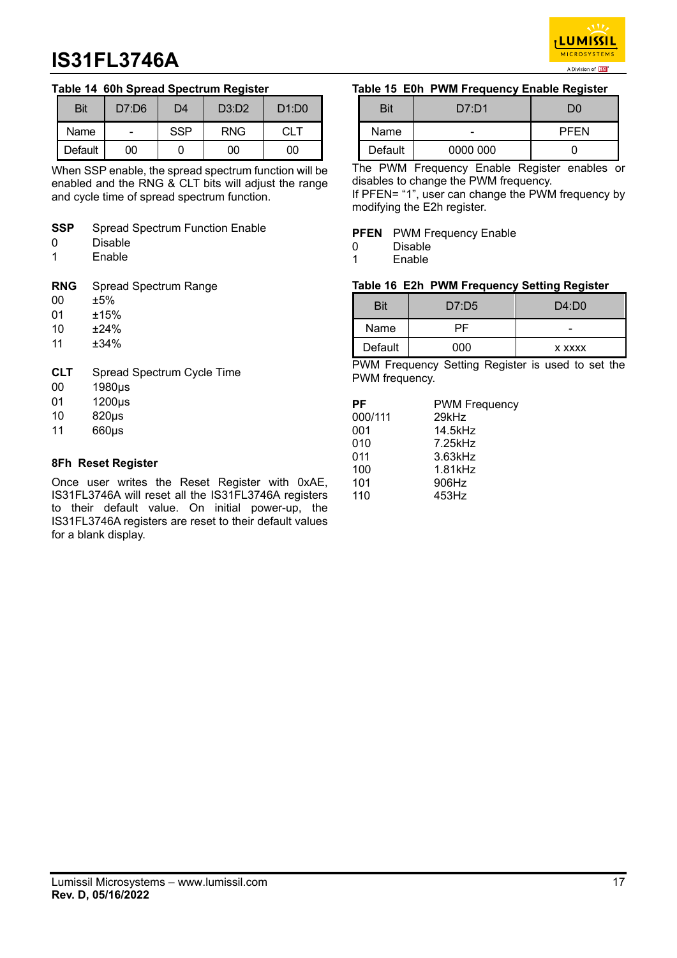

## **Table 14 60h Spread Spectrum Register**

| Bit     | D7:DB | D4         | D3:D2      | D1:DO |
|---------|-------|------------|------------|-------|
| Name    |       | <b>SSP</b> | <b>RNG</b> | CLT.  |
| Default | ገበ    |            | ገበ         | ገበ    |

When SSP enable, the spread spectrum function will be enabled and the RNG & CLT bits will adjust the range and cycle time of spread spectrum function.

- **SSP** Spread Spectrum Function Enable
- 0 Disable
- 1 Enable

**RNG** Spread Spectrum Range

- 00 ±5%
- 01 ±15%
- 10 ±24%
- 11 ±34%
- **CLT** Spread Spectrum Cycle Time
- 00 1980μs
- 01 1200μs
- 10 820μs
- 11 660μs

### **8Fh Reset Register**

Once user writes the Reset Register with 0xAE, IS31FL3746A will reset all the IS31FL3746A registers to their default value. On initial power-up, the IS31FL3746A registers are reset to their default values for a blank display.

#### **Table 15 E0h PWM Frequency Enable Register**

| Bit     | D7: D1   | DÛ          |
|---------|----------|-------------|
| Name    | -        | <b>PFEN</b> |
| Default | 0000 000 |             |

The PWM Frequency Enable Register enables or disables to change the PWM frequency.

If PFEN= "1", user can change the PWM frequency by modifying the E2h register.

#### **PFEN** PWM Frequency Enable

- 0 Disable
- 1 Enable

### **Table 16 E2h PWM Frequency Setting Register**

| Bit     | D7:D5 | D4:DD         |
|---------|-------|---------------|
| Name    | ∸⊢    | -             |
| Default | ገበበ   | <b>X XXXX</b> |

PWM Frequency Setting Register is used to set the PWM frequency.

| <b>PWM Frequency</b> |
|----------------------|
| 29kHz                |
| 14.5kHz              |
| 7.25kHz              |
| 3.63kHz              |
| 1.81kHz              |
| 906Hz                |
| 453Hz                |
|                      |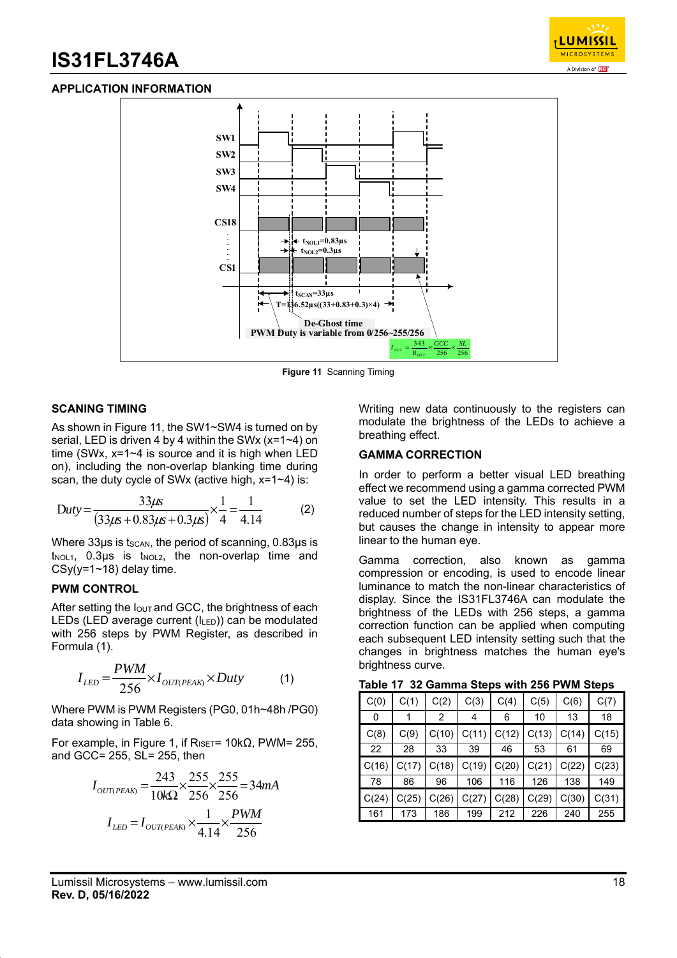

### **APPLICATION INFORMATION**



**Figure 11** Scanning Timing

#### **SCANING TIMING**

As shown in Figure 11, the SW1~SW4 is turned on by serial, LED is driven 4 by 4 within the SWx (x=1~4) on time (SWx, x=1~4 is source and it is high when LED on), including the non-overlap blanking time during scan, the duty cycle of SWx (active high, x=1~4) is:

$$
Duty = \frac{33\mu s}{(33\mu s + 0.83\mu s + 0.3\mu s)} \times \frac{1}{4} = \frac{1}{4.14}
$$
 (2)

Where  $33\mu s$  is tscan, the period of scanning, 0.83 $\mu s$  is  $t_{NOL1}$ , 0.3µs is  $t_{NOL2}$ , the non-overlap time and  $CSy(y=1~1~18)$  delay time.

#### **PWM CONTROL**

After setting the  $I_{\text{OUT}}$  and GCC, the brightness of each LEDs (LED average current (ILED)) can be modulated with 256 steps by PWM Register, as described in Formula (1).

$$
I_{LED} = \frac{PWM}{256} \times I_{OUT(PEAR)} \times Duty
$$
 (1)

Where PWM is PWM Registers (PG0, 01h~48h /PG0) data showing in Table 6.

For example, in Figure 1, if  $R_{ISET}$ = 10kΩ, PWM= 255, and GCC= 255, SL= 255, then

$$
I_{OUT(PEAK)} = \frac{243}{10k\Omega} \times \frac{255}{256} \times \frac{255}{256} = 34 mA
$$

$$
I_{LED} = I_{OUT(PEAK)} \times \frac{1}{4.14} \times \frac{PWM}{256}
$$

Writing new data continuously to the registers can modulate the brightness of the LEDs to achieve a breathing effect.

### **GAMMA CORRECTION**

In order to perform a better visual LED breathing effect we recommend using a gamma corrected PWM value to set the LED intensity. This results in a reduced number of steps for the LED intensity setting, but causes the change in intensity to appear more linear to the human eye.

Gamma correction, also known as gamma compression or encoding, is used to encode linear luminance to match the non-linear characteristics of display. Since the IS31FL3746A can modulate the brightness of the LEDs with 256 steps, a gamma correction function can be applied when computing each subsequent LED intensity setting such that the changes in brightness matches the human eye's brightness curve.

| Table 17 32 Gamma Steps with 256 PWM Steps |  |
|--------------------------------------------|--|
|--------------------------------------------|--|

| C(0)  | C(1)  | C(2)  | C(3)  | C(4)  | C(5)  | C(6)  | C(7)  |
|-------|-------|-------|-------|-------|-------|-------|-------|
| 0     |       | 2     | 4     | 6     | 10    | 13    | 18    |
| C(8)  | C(9)  | C(10) | C(11) | C(12) | C(13) | C(14) | C(15) |
| 22    | 28    | 33    | 39    | 46    | 53    | 61    | 69    |
| C(16) | C(17) | C(18) | C(19) | C(20) | C(21) | C(22) | C(23) |
| 78    | 86    | 96    | 106   | 116   | 126   | 138   | 149   |
| C(24) | C(25) | C(26) | C(27) | C(28) | C(29) | C(30) | C(31) |
| 161   | 173   | 186   | 199   | 212   | 226   | 240   | 255   |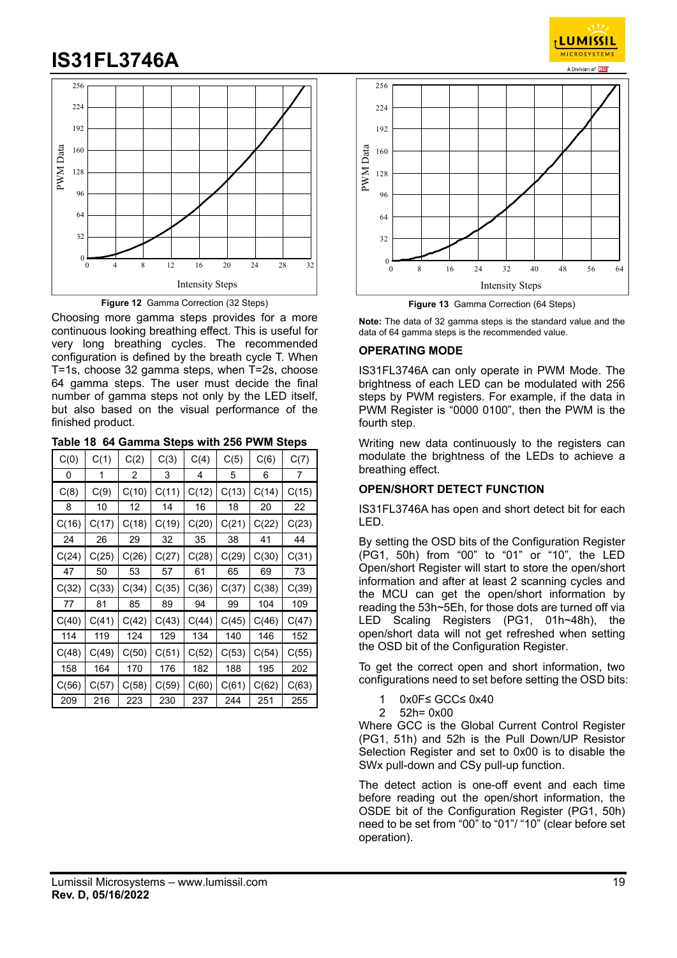



Choosing more gamma steps provides for a more continuous looking breathing effect. This is useful for very long breathing cycles. The recommended configuration is defined by the breath cycle T. When T=1s, choose 32 gamma steps, when T=2s, choose 64 gamma steps. The user must decide the final number of gamma steps not only by the LED itself, but also based on the visual performance of the finished product.

| C(0)  | C(1)  | C(2)  | C(3)  | C(4)  | C(5)  | C(6)  | C(7)  |
|-------|-------|-------|-------|-------|-------|-------|-------|
| 0     | 1     | 2     | 3     | 4     | 5     | 6     | 7     |
| C(8)  | C(9)  | C(10) | C(11) | C(12) | C(13) | C(14) | C(15) |
| 8     | 10    | 12    | 14    | 16    | 18    | 20    | 22    |
| C(16) | C(17) | C(18) | C(19) | C(20) | C(21) | C(22) | C(23) |
| 24    | 26    | 29    | 32    | 35    | 38    | 41    | 44    |
| C(24) | C(25) | C(26) | C(27) | C(28) | C(29) | C(30) | C(31) |
| 47    | 50    | 53    | 57    | 61    | 65    | 69    | 73    |
|       |       |       |       |       |       |       |       |
| C(32) | C(33) | C(34) | C(35) | C(36) | C(37) | C(38) | C(39) |
| 77    | 81    | 85    | 89    | 94    | 99    | 104   | 109   |
| C(40) | C(41) | C(42) | C(43) | C(44) | C(45) | C(46) | C(47) |
| 114   | 119   | 124   | 129   | 134   | 140   | 146   | 152   |
| C(48) | C(49) | C(50) | C(51) | C(52) | C(53) | C(54) | C(55) |
| 158   | 164   | 170   | 176   | 182   | 188   | 195   | 202   |
| C(56) | C(57) | C(58) | C(59) | C(60) | C(61) | C(62) | C(63) |



**LUMISSI** MICROSYSTEM

**Figure 13** Gamma Correction (64 Steps)

**Note:** The data of 32 gamma steps is the standard value and the data of 64 gamma steps is the recommended value.

#### **OPERATING MODE**

IS31FL3746A can only operate in PWM Mode. The brightness of each LED can be modulated with 256 steps by PWM registers. For example, if the data in PWM Register is "0000 0100", then the PWM is the fourth step.

Writing new data continuously to the registers can modulate the brightness of the LEDs to achieve a breathing effect.

### **OPEN/SHORT DETECT FUNCTION**

IS31FL3746A has open and short detect bit for each LED.

By setting the OSD bits of the Configuration Register (PG1, 50h) from "00" to "01" or "10", the LED Open/short Register will start to store the open/short information and after at least 2 scanning cycles and the MCU can get the open/short information by reading the 53h~5Eh, for those dots are turned off via LED Scaling Registers (PG1, 01h~48h), the open/short data will not get refreshed when setting the OSD bit of the Configuration Register.

To get the correct open and short information, two configurations need to set before setting the OSD bits:

- 1 0x0F≤ GCC≤ 0x40
- 2 52h= 0x00

Where GCC is the Global Current Control Register (PG1, 51h) and 52h is the Pull Down/UP Resistor Selection Register and set to 0x00 is to disable the SWx pull-down and CSy pull-up function.

The detect action is one-off event and each time before reading out the open/short information, the OSDE bit of the Configuration Register (PG1, 50h) need to be set from "00" to "01"/ "10" (clear before set operation).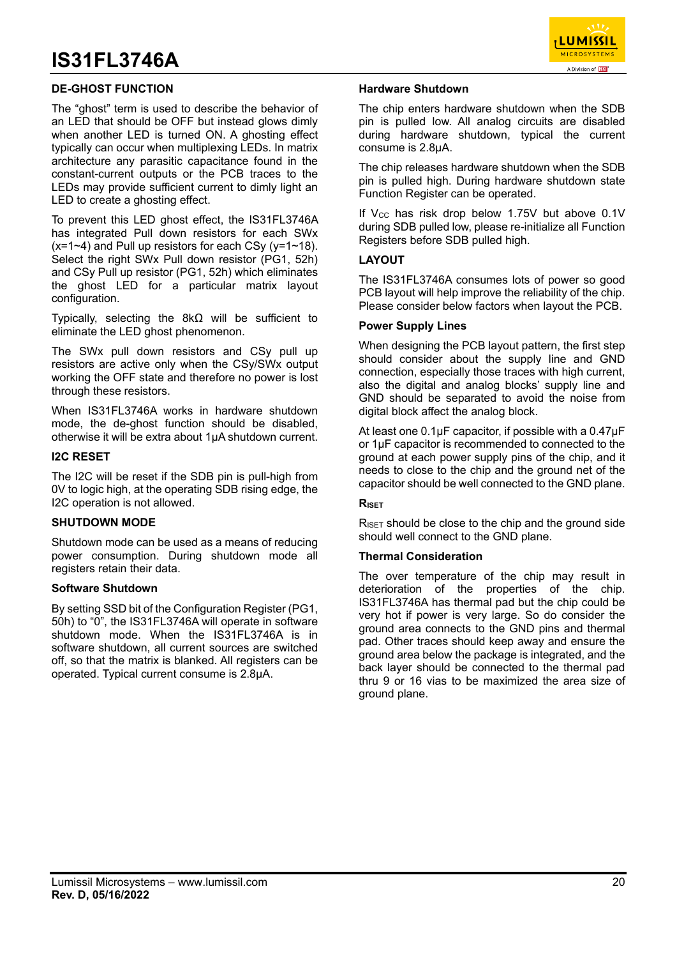

### **DE-GHOST FUNCTION**

The "ghost" term is used to describe the behavior of an LED that should be OFF but instead glows dimly when another LED is turned ON. A ghosting effect typically can occur when multiplexing LEDs. In matrix architecture any parasitic capacitance found in the constant-current outputs or the PCB traces to the LEDs may provide sufficient current to dimly light an LED to create a ghosting effect.

To prevent this LED ghost effect, the IS31FL3746A has integrated Pull down resistors for each SWx  $(x=1-4)$  and Pull up resistors for each CSy (y=1~18). Select the right SWx Pull down resistor (PG1, 52h) and CSy Pull up resistor (PG1, 52h) which eliminates the ghost LED for a particular matrix layout configuration.

Typically, selecting the 8kΩ will be sufficient to eliminate the LED ghost phenomenon.

The SWx pull down resistors and CSy pull up resistors are active only when the CSy/SWx output working the OFF state and therefore no power is lost through these resistors.

When IS31FL3746A works in hardware shutdown mode, the de-ghost function should be disabled, otherwise it will be extra about 1μA shutdown current.

#### **I2C RESET**

The I2C will be reset if the SDB pin is pull-high from 0V to logic high, at the operating SDB rising edge, the I2C operation is not allowed.

#### **SHUTDOWN MODE**

Shutdown mode can be used as a means of reducing power consumption. During shutdown mode all registers retain their data.

#### **Software Shutdown**

By setting SSD bit of the Configuration Register (PG1, 50h) to "0", the IS31FL3746A will operate in software shutdown mode. When the IS31FL3746A is in software shutdown, all current sources are switched off, so that the matrix is blanked. All registers can be operated. Typical current consume is 2.8μA.

#### **Hardware Shutdown**

The chip enters hardware shutdown when the SDB pin is pulled low. All analog circuits are disabled during hardware shutdown, typical the current consume is 2.8μA.

The chip releases hardware shutdown when the SDB pin is pulled high. During hardware shutdown state Function Register can be operated.

If  $V_{CC}$  has risk drop below 1.75V but above  $0.1V$ during SDB pulled low, please re-initialize all Function Registers before SDB pulled high.

#### **LAYOUT**

The IS31FL3746A consumes lots of power so good PCB layout will help improve the reliability of the chip. Please consider below factors when layout the PCB.

#### **Power Supply Lines**

When designing the PCB layout pattern, the first step should consider about the supply line and GND connection, especially those traces with high current, also the digital and analog blocks' supply line and GND should be separated to avoid the noise from digital block affect the analog block.

At least one 0.1 μF capacitor, if possible with a 0.47 μF or 1μF capacitor is recommended to connected to the ground at each power supply pins of the chip, and it needs to close to the chip and the ground net of the capacitor should be well connected to the GND plane.

#### **RISET**

 $R_{\text{ISET}}$  should be close to the chip and the ground side should well connect to the GND plane.

### **Thermal Consideration**

The over temperature of the chip may result in deterioration of the properties of the chip. IS31FL3746A has thermal pad but the chip could be very hot if power is very large. So do consider the ground area connects to the GND pins and thermal pad. Other traces should keep away and ensure the ground area below the package is integrated, and the back layer should be connected to the thermal pad thru 9 or 16 vias to be maximized the area size of ground plane.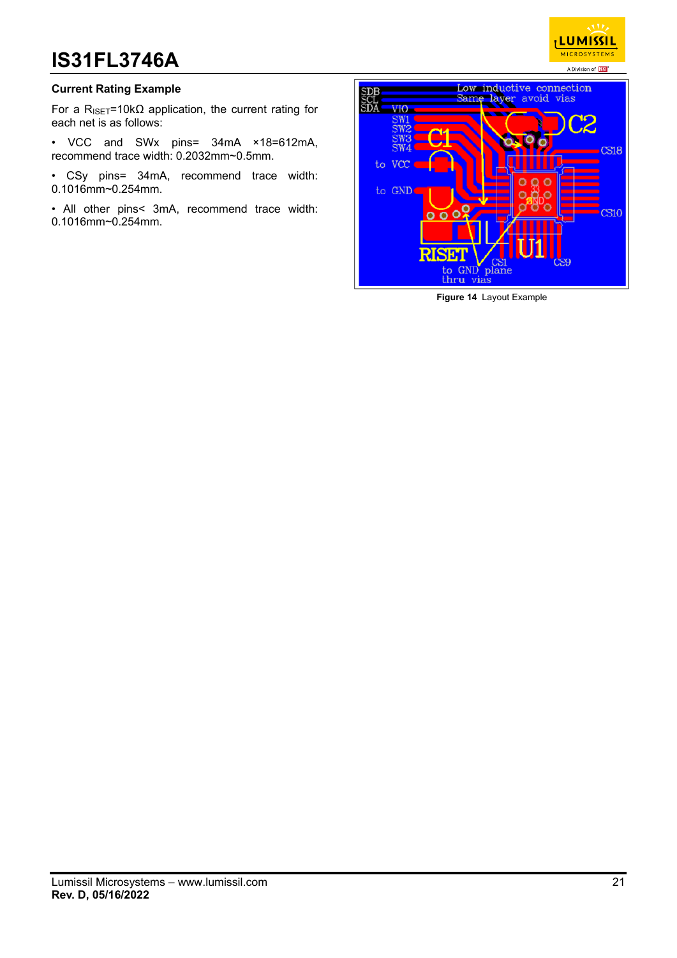

### **Current Rating Example**

For a R<sub>ISET</sub>=10kΩ application, the current rating for each net is as follows:

• VCC and SWx pins= 34mA ×18=612mA, recommend trace width: 0.2032mm~0.5mm.

• CSy pins= 34mA, recommend trace width: 0.1016mm~0.254mm.

• All other pins< 3mA, recommend trace width: 0.1016mm~0.254mm.



**Figure 14** Layout Example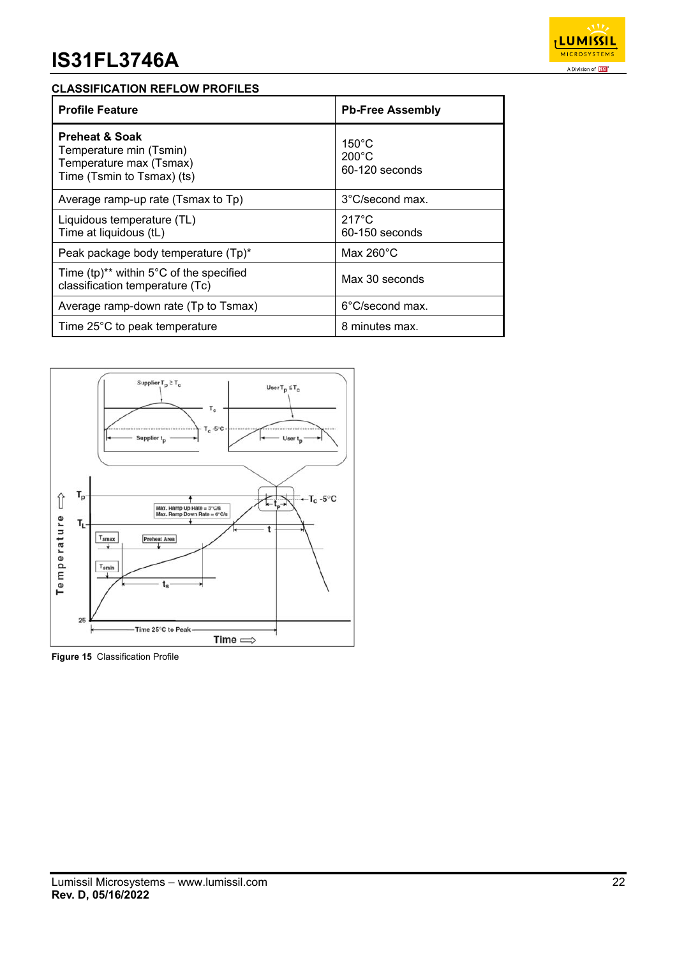

## **CLASSIFICATION REFLOW PROFILES**

| <b>Profile Feature</b>                                                                                        | <b>Pb-Free Assembly</b>                              |
|---------------------------------------------------------------------------------------------------------------|------------------------------------------------------|
| <b>Preheat &amp; Soak</b><br>Temperature min (Tsmin)<br>Temperature max (Tsmax)<br>Time (Tsmin to Tsmax) (ts) | $150^{\circ}$ C<br>$200^{\circ}$ C<br>60-120 seconds |
| Average ramp-up rate (Tsmax to Tp)                                                                            | 3°C/second max.                                      |
| Liquidous temperature (TL)<br>Time at liquidous (tL)                                                          | $217^\circ C$<br>$60-150$ seconds                    |
| Peak package body temperature (Tp)*                                                                           | Max $260^{\circ}$ C                                  |
| Time $(tp)^{**}$ within 5°C of the specified<br>classification temperature (Tc)                               | Max 30 seconds                                       |
| Average ramp-down rate (Tp to Tsmax)                                                                          | 6°C/second max.                                      |
| Time 25°C to peak temperature                                                                                 | 8 minutes max.                                       |



**Figure 15** Classification Profile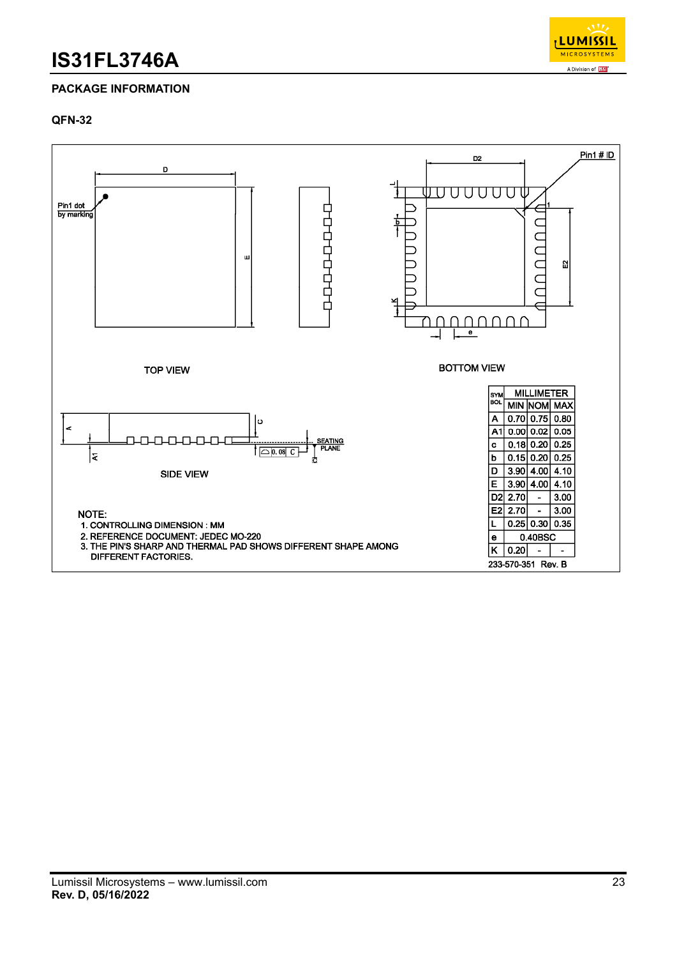

## **PACKAGE INFORMATION**

## **QFN-32**

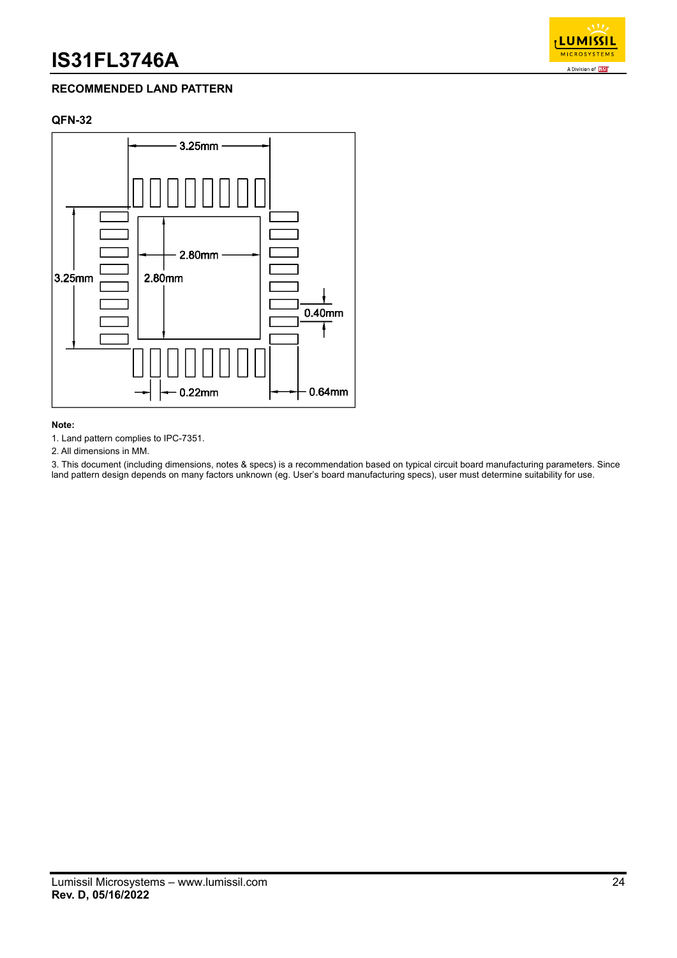

## **RECOMMENDED LAND PATTERN**

## **QFN-32**



#### **Note:**

1. Land pattern complies to IPC-7351.

2. All dimensions in MM.

3. This document (including dimensions, notes & specs) is a recommendation based on typical circuit board manufacturing parameters. Since land pattern design depends on many factors unknown (eg. User's board manufacturing specs), user must determine suitability for use.